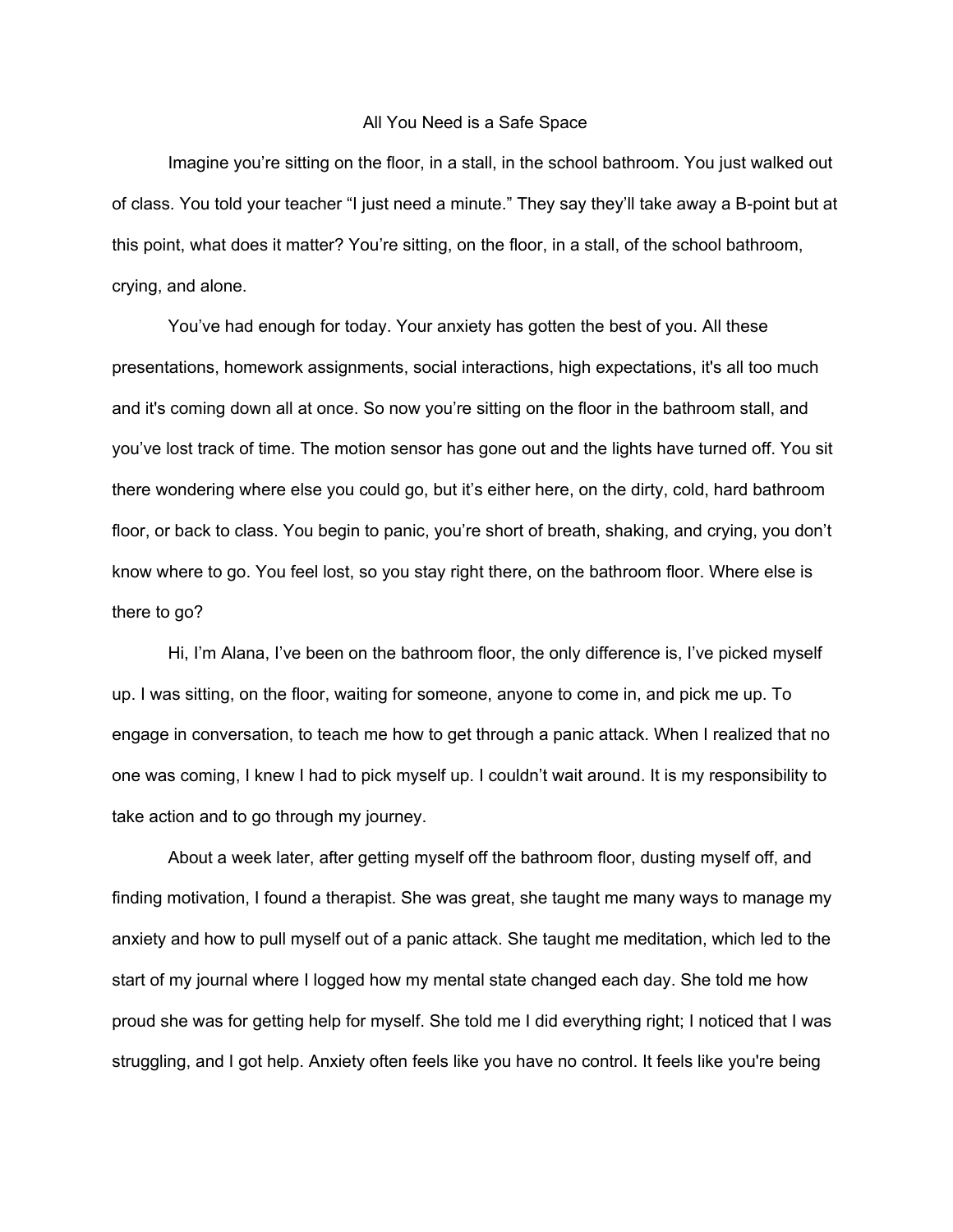## All You Need is a Safe Space

Imagine you're sitting on the floor, in a stall, in the school bathroom. You just walked out of class. You told your teacher "I just need a minute." They say they'll take away a B-point but at this point, what does it matter? You're sitting, on the floor, in a stall, of the school bathroom, crying, and alone.

You've had enough for today. Your anxiety has gotten the best of you. All these presentations, homework assignments, social interactions, high expectations, it's all too much and it's coming down all at once. So now you're sitting on the floor in the bathroom stall, and you've lost track of time. The motion sensor has gone out and the lights have turned off. You sit there wondering where else you could go, but it's either here, on the dirty, cold, hard bathroom floor, or back to class. You begin to panic, you're short of breath, shaking, and crying, you don't know where to go. You feel lost, so you stay right there, on the bathroom floor. Where else is there to go?

Hi, I'm Alana, I've been on the bathroom floor, the only difference is, I've picked myself up. I was sitting, on the floor, waiting for someone, anyone to come in, and pick me up. To engage in conversation, to teach me how to get through a panic attack. When I realized that no one was coming, I knew I had to pick myself up. I couldn't wait around. It is my responsibility to take action and to go through my journey.

About a week later, after getting myself off the bathroom floor, dusting myself off, and finding motivation, I found a therapist. She was great, she taught me many ways to manage my anxiety and how to pull myself out of a panic attack. She taught me meditation, which led to the start of my journal where I logged how my mental state changed each day. She told me how proud she was for getting help for myself. She told me I did everything right; I noticed that I was struggling, and I got help. Anxiety often feels like you have no control. It feels like you're being